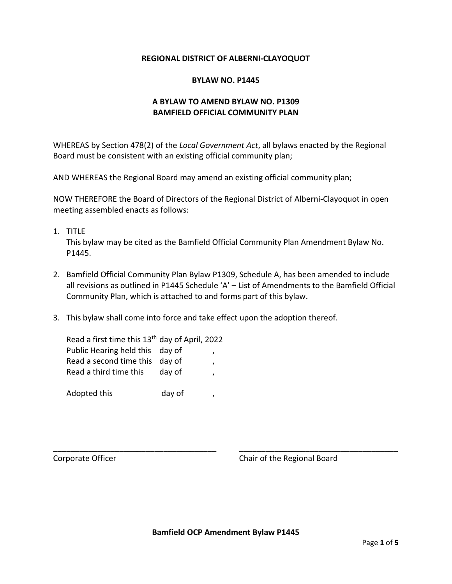## **REGIONAL DISTRICT OF ALBERNI-CLAYOQUOT**

### **BYLAW NO. P1445**

# **A BYLAW TO AMEND BYLAW NO. P1309 BAMFIELD OFFICIAL COMMUNITY PLAN**

WHEREAS by Section 478(2) of the *Local Government Act*, all bylaws enacted by the Regional Board must be consistent with an existing official community plan;

AND WHEREAS the Regional Board may amend an existing official community plan;

NOW THEREFORE the Board of Directors of the Regional District of Alberni-Clayoquot in open meeting assembled enacts as follows:

1. TITLE

This bylaw may be cited as the Bamfield Official Community Plan Amendment Bylaw No. P1445.

- 2. Bamfield Official Community Plan Bylaw P1309, Schedule A, has been amended to include all revisions as outlined in P1445 Schedule 'A' – List of Amendments to the Bamfield Official Community Plan, which is attached to and forms part of this bylaw.
- 3. This bylaw shall come into force and take effect upon the adoption thereof.

| Read a first time this 13 <sup>th</sup> day of April, 2022 |        |  |
|------------------------------------------------------------|--------|--|
| Public Hearing held this day of                            |        |  |
| Read a second time this day of                             |        |  |
| Read a third time this                                     | day of |  |
|                                                            |        |  |
| Adopted this                                               | day of |  |

Corporate Officer Corporate Officer Corporate Officer Corporate Chair of the Regional Board

\_\_\_\_\_\_\_\_\_\_\_\_\_\_\_\_\_\_\_\_\_\_\_\_\_\_\_\_\_\_\_\_\_\_\_\_\_ \_\_\_\_\_\_\_\_\_\_\_\_\_\_\_\_\_\_\_\_\_\_\_\_\_\_\_\_\_\_\_\_\_\_\_\_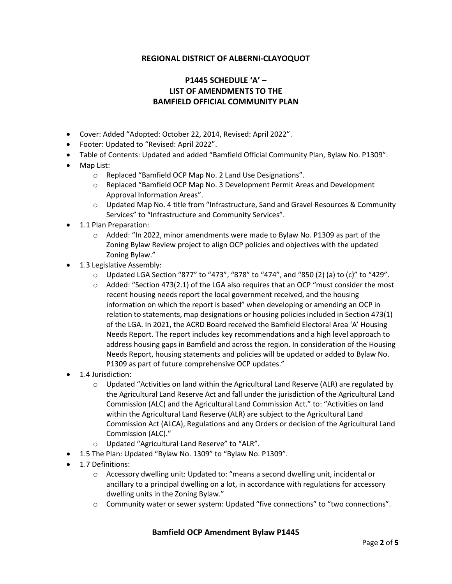## **REGIONAL DISTRICT OF ALBERNI-CLAYOQUOT**

# **P1445 SCHEDULE 'A' – LIST OF AMENDMENTS TO THE BAMFIELD OFFICIAL COMMUNITY PLAN**

- Cover: Added "Adopted: October 22, 2014, Revised: April 2022".
- Footer: Updated to "Revised: April 2022".
- Table of Contents: Updated and added "Bamfield Official Community Plan, Bylaw No. P1309".
- Map List:
	- o Replaced "Bamfield OCP Map No. 2 Land Use Designations".
	- o Replaced "Bamfield OCP Map No. 3 Development Permit Areas and Development Approval Information Areas".
	- o Updated Map No. 4 title from "Infrastructure, Sand and Gravel Resources & Community Services" to "Infrastructure and Community Services".
- 1.1 Plan Preparation:
	- o Added: "In 2022, minor amendments were made to Bylaw No. P1309 as part of the Zoning Bylaw Review project to align OCP policies and objectives with the updated Zoning Bylaw."
- 1.3 Legislative Assembly:
	- $\circ$  Updated LGA Section "877" to "473", "878" to "474", and "850 (2) (a) to (c)" to "429".
	- $\circ$  Added: "Section 473(2.1) of the LGA also requires that an OCP "must consider the most recent housing needs report the local government received, and the housing information on which the report is based" when developing or amending an OCP in relation to statements, map designations or housing policies included in Section 473(1) of the LGA. In 2021, the ACRD Board received the Bamfield Electoral Area 'A' Housing Needs Report. The report includes key recommendations and a high level approach to address housing gaps in Bamfield and across the region. In consideration of the Housing Needs Report, housing statements and policies will be updated or added to Bylaw No. P1309 as part of future comprehensive OCP updates."
- 1.4 Jurisdiction:
	- o Updated "Activities on land within the Agricultural Land Reserve (ALR) are regulated by the Agricultural Land Reserve Act and fall under the jurisdiction of the Agricultural Land Commission (ALC) and the Agricultural Land Commission Act." to: "Activities on land within the Agricultural Land Reserve (ALR) are subject to the Agricultural Land Commission Act (ALCA), Regulations and any Orders or decision of the Agricultural Land Commission (ALC)."
	- o Updated "Agricultural Land Reserve" to "ALR".
- 1.5 The Plan: Updated "Bylaw No. 1309" to "Bylaw No. P1309".
- 1.7 Definitions:
	- o Accessory dwelling unit: Updated to: "means a second dwelling unit, incidental or ancillary to a principal dwelling on a lot, in accordance with regulations for accessory dwelling units in the Zoning Bylaw."
	- o Community water or sewer system: Updated "five connections" to "two connections".

### **Bamfield OCP Amendment Bylaw P1445**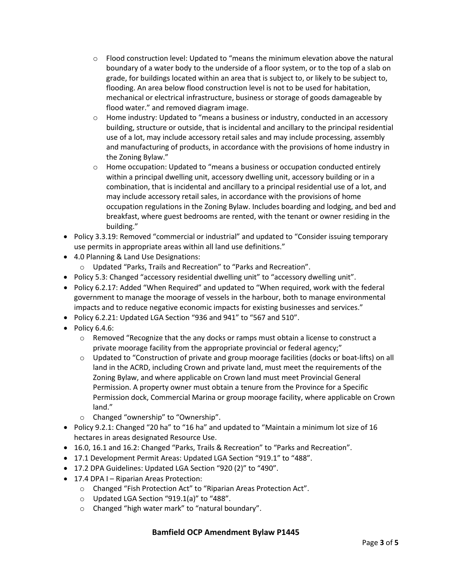- $\circ$  Flood construction level: Updated to "means the minimum elevation above the natural boundary of a water body to the underside of a floor system, or to the top of a slab on grade, for buildings located within an area that is subject to, or likely to be subject to, flooding. An area below flood construction level is not to be used for habitation, mechanical or electrical infrastructure, business or storage of goods damageable by flood water." and removed diagram image.
- $\circ$  Home industry: Updated to "means a business or industry, conducted in an accessory building, structure or outside, that is incidental and ancillary to the principal residential use of a lot, may include accessory retail sales and may include processing, assembly and manufacturing of products, in accordance with the provisions of home industry in the Zoning Bylaw."
- $\circ$  Home occupation: Updated to "means a business or occupation conducted entirely within a principal dwelling unit, accessory dwelling unit, accessory building or in a combination, that is incidental and ancillary to a principal residential use of a lot, and may include accessory retail sales, in accordance with the provisions of home occupation regulations in the Zoning Bylaw. Includes boarding and lodging, and bed and breakfast, where guest bedrooms are rented, with the tenant or owner residing in the building."
- Policy 3.3.19: Removed "commercial or industrial" and updated to "Consider issuing temporary use permits in appropriate areas within all land use definitions."
- 4.0 Planning & Land Use Designations:
	- o Updated "Parks, Trails and Recreation" to "Parks and Recreation".
- Policy 5.3: Changed "accessory residential dwelling unit" to "accessory dwelling unit".
- Policy 6.2.17: Added "When Required" and updated to "When required, work with the federal government to manage the moorage of vessels in the harbour, both to manage environmental impacts and to reduce negative economic impacts for existing businesses and services."
- Policy 6.2.21: Updated LGA Section "936 and 941" to "567 and 510".
- Policy 6.4.6:
	- $\circ$  Removed "Recognize that the any docks or ramps must obtain a license to construct a private moorage facility from the appropriate provincial or federal agency;"
	- $\circ$  Updated to "Construction of private and group moorage facilities (docks or boat-lifts) on all land in the ACRD, including Crown and private land, must meet the requirements of the Zoning Bylaw, and where applicable on Crown land must meet Provincial General Permission. A property owner must obtain a tenure from the Province for a Specific Permission dock, Commercial Marina or group moorage facility, where applicable on Crown land."
	- o Changed "ownership" to "Ownership".
- Policy 9.2.1: Changed "20 ha" to "16 ha" and updated to "Maintain a minimum lot size of 16 hectares in areas designated Resource Use.
- 16.0, 16.1 and 16.2: Changed "Parks, Trails & Recreation" to "Parks and Recreation".
- 17.1 Development Permit Areas: Updated LGA Section "919.1" to "488".
- 17.2 DPA Guidelines: Updated LGA Section "920 (2)" to "490".
- 17.4 DPA I Riparian Areas Protection:
	- o Changed "Fish Protection Act" to "Riparian Areas Protection Act".
	- o Updated LGA Section "919.1(a)" to "488".
	- o Changed "high water mark" to "natural boundary".

### **Bamfield OCP Amendment Bylaw P1445**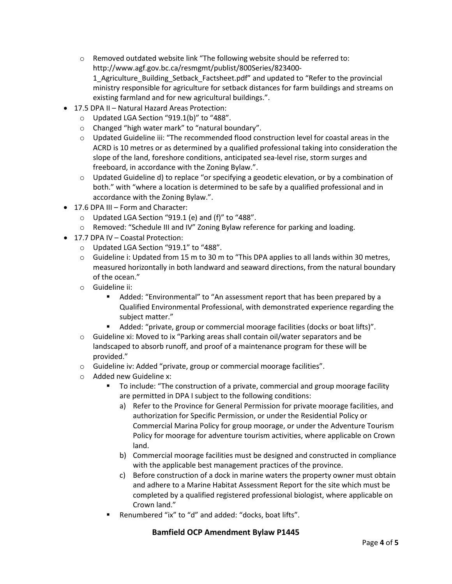- o Removed outdated website link "The following website should be referred to: http://www.agf.gov.bc.ca/resmgmt/publist/800Series/823400- 1\_Agriculture\_Building\_Setback\_Factsheet.pdf" and updated to "Refer to the provincial ministry responsible for agriculture for setback distances for farm buildings and streams on existing farmland and for new agricultural buildings.".
- 17.5 DPA II Natural Hazard Areas Protection:
	- o Updated LGA Section "919.1(b)" to "488".
	- o Changed "high water mark" to "natural boundary".
	- $\circ$  Updated Guideline iii: "The recommended flood construction level for coastal areas in the ACRD is 10 metres or as determined by a qualified professional taking into consideration the slope of the land, foreshore conditions, anticipated sea-level rise, storm surges and freeboard, in accordance with the Zoning Bylaw.".
	- $\circ$  Updated Guideline d) to replace "or specifying a geodetic elevation, or by a combination of both." with "where a location is determined to be safe by a qualified professional and in accordance with the Zoning Bylaw.".
- 17.6 DPA III Form and Character:
	- $\circ$  Updated LGA Section "919.1 (e) and (f)" to "488".
	- o Removed: "Schedule III and IV" Zoning Bylaw reference for parking and loading.
- 17.7 DPA IV Coastal Protection:
	- o Updated LGA Section "919.1" to "488".
	- o Guideline i: Updated from 15 m to 30 m to "This DPA applies to all lands within 30 metres, measured horizontally in both landward and seaward directions, from the natural boundary of the ocean."
	- o Guideline ii:
		- Added: "Environmental" to "An assessment report that has been prepared by a Qualified Environmental Professional, with demonstrated experience regarding the subject matter."
		- Added: "private, group or commercial moorage facilities (docks or boat lifts)".
	- $\circ$  Guideline xi: Moved to ix "Parking areas shall contain oil/water separators and be landscaped to absorb runoff, and proof of a maintenance program for these will be provided."
	- o Guideline iv: Added "private, group or commercial moorage facilities".
	- o Added new Guideline x:
		- To include: "The construction of a private, commercial and group moorage facility are permitted in DPA I subject to the following conditions:
			- a) Refer to the Province for General Permission for private moorage facilities, and authorization for Specific Permission, or under the Residential Policy or Commercial Marina Policy for group moorage, or under the Adventure Tourism Policy for moorage for adventure tourism activities, where applicable on Crown land.
			- b) Commercial moorage facilities must be designed and constructed in compliance with the applicable best management practices of the province.
			- c) Before construction of a dock in marine waters the property owner must obtain and adhere to a Marine Habitat Assessment Report for the site which must be completed by a qualified registered professional biologist, where applicable on Crown land."
		- Renumbered "ix" to "d" and added: "docks, boat lifts".

## **Bamfield OCP Amendment Bylaw P1445**